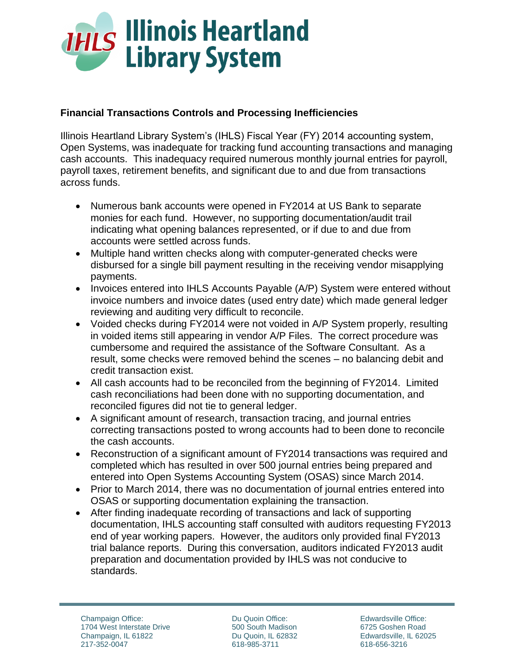

## **Financial Transactions Controls and Processing Inefficiencies**

Illinois Heartland Library System's (IHLS) Fiscal Year (FY) 2014 accounting system, Open Systems, was inadequate for tracking fund accounting transactions and managing cash accounts. This inadequacy required numerous monthly journal entries for payroll, payroll taxes, retirement benefits, and significant due to and due from transactions across funds.

- Numerous bank accounts were opened in FY2014 at US Bank to separate monies for each fund. However, no supporting documentation/audit trail indicating what opening balances represented, or if due to and due from accounts were settled across funds.
- Multiple hand written checks along with computer-generated checks were disbursed for a single bill payment resulting in the receiving vendor misapplying payments.
- Invoices entered into IHLS Accounts Payable (A/P) System were entered without invoice numbers and invoice dates (used entry date) which made general ledger reviewing and auditing very difficult to reconcile.
- Voided checks during FY2014 were not voided in A/P System properly, resulting in voided items still appearing in vendor A/P Files. The correct procedure was cumbersome and required the assistance of the Software Consultant. As a result, some checks were removed behind the scenes – no balancing debit and credit transaction exist.
- All cash accounts had to be reconciled from the beginning of FY2014. Limited cash reconciliations had been done with no supporting documentation, and reconciled figures did not tie to general ledger.
- A significant amount of research, transaction tracing, and journal entries correcting transactions posted to wrong accounts had to been done to reconcile the cash accounts.
- Reconstruction of a significant amount of FY2014 transactions was required and completed which has resulted in over 500 journal entries being prepared and entered into Open Systems Accounting System (OSAS) since March 2014.
- Prior to March 2014, there was no documentation of journal entries entered into OSAS or supporting documentation explaining the transaction.
- After finding inadequate recording of transactions and lack of supporting documentation, IHLS accounting staff consulted with auditors requesting FY2013 end of year working papers. However, the auditors only provided final FY2013 trial balance reports. During this conversation, auditors indicated FY2013 audit preparation and documentation provided by IHLS was not conducive to standards.

Du Quoin Office: 500 South Madison Du Quoin, IL 62832 618-985-3711

Edwardsville Office: 6725 Goshen Road Edwardsville, IL 62025 618-656-3216